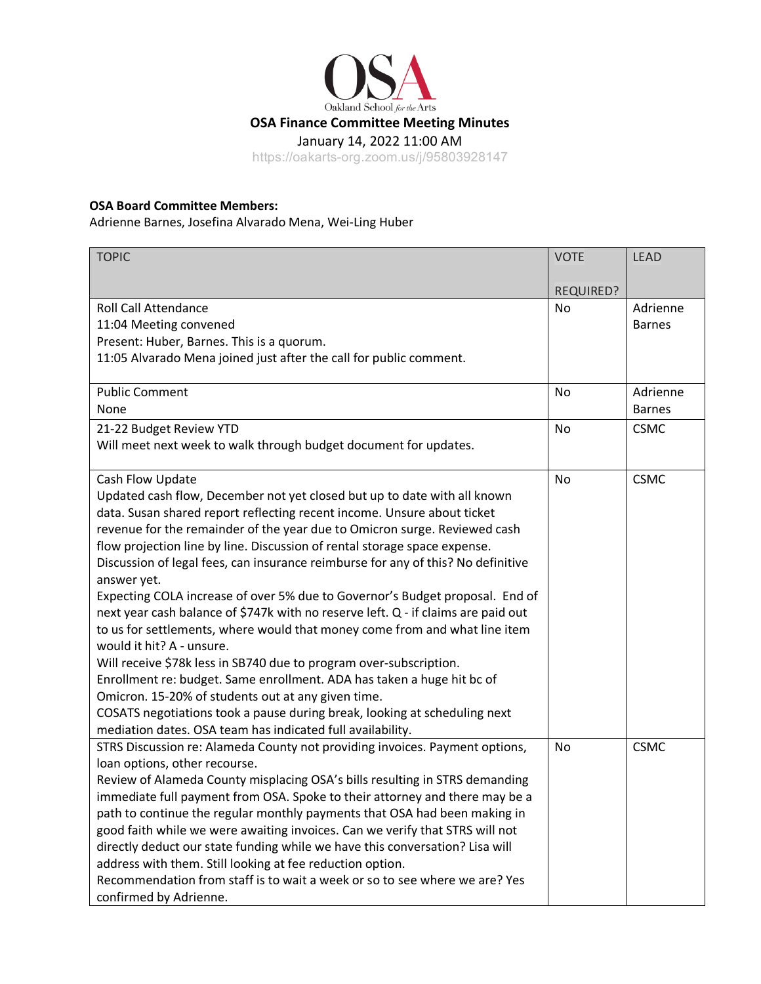

## **OSA Board Committee Members:**

Adrienne Barnes, Josefina Alvarado Mena, Wei-Ling Huber

| <b>TOPIC</b>                                                                      | <b>VOTE</b>      | <b>LEAD</b>   |
|-----------------------------------------------------------------------------------|------------------|---------------|
|                                                                                   |                  |               |
| <b>Roll Call Attendance</b>                                                       | <b>REQUIRED?</b> | Adrienne      |
|                                                                                   | No               |               |
| 11:04 Meeting convened                                                            |                  | <b>Barnes</b> |
| Present: Huber, Barnes. This is a quorum.                                         |                  |               |
| 11:05 Alvarado Mena joined just after the call for public comment.                |                  |               |
| <b>Public Comment</b>                                                             | No               | Adrienne      |
| None                                                                              |                  | <b>Barnes</b> |
| 21-22 Budget Review YTD                                                           | <b>No</b>        | <b>CSMC</b>   |
| Will meet next week to walk through budget document for updates.                  |                  |               |
|                                                                                   |                  |               |
| Cash Flow Update                                                                  | <b>No</b>        | <b>CSMC</b>   |
| Updated cash flow, December not yet closed but up to date with all known          |                  |               |
| data. Susan shared report reflecting recent income. Unsure about ticket           |                  |               |
| revenue for the remainder of the year due to Omicron surge. Reviewed cash         |                  |               |
| flow projection line by line. Discussion of rental storage space expense.         |                  |               |
| Discussion of legal fees, can insurance reimburse for any of this? No definitive  |                  |               |
| answer yet.                                                                       |                  |               |
| Expecting COLA increase of over 5% due to Governor's Budget proposal. End of      |                  |               |
| next year cash balance of \$747k with no reserve left. Q - if claims are paid out |                  |               |
| to us for settlements, where would that money come from and what line item        |                  |               |
| would it hit? A - unsure.                                                         |                  |               |
| Will receive \$78k less in SB740 due to program over-subscription.                |                  |               |
| Enrollment re: budget. Same enrollment. ADA has taken a huge hit bc of            |                  |               |
| Omicron. 15-20% of students out at any given time.                                |                  |               |
| COSATS negotiations took a pause during break, looking at scheduling next         |                  |               |
| mediation dates. OSA team has indicated full availability.                        |                  |               |
| STRS Discussion re: Alameda County not providing invoices. Payment options,       | No               | <b>CSMC</b>   |
| loan options, other recourse.                                                     |                  |               |
| Review of Alameda County misplacing OSA's bills resulting in STRS demanding       |                  |               |
| immediate full payment from OSA. Spoke to their attorney and there may be a       |                  |               |
| path to continue the regular monthly payments that OSA had been making in         |                  |               |
| good faith while we were awaiting invoices. Can we verify that STRS will not      |                  |               |
| directly deduct our state funding while we have this conversation? Lisa will      |                  |               |
| address with them. Still looking at fee reduction option.                         |                  |               |
| Recommendation from staff is to wait a week or so to see where we are? Yes        |                  |               |
| confirmed by Adrienne.                                                            |                  |               |